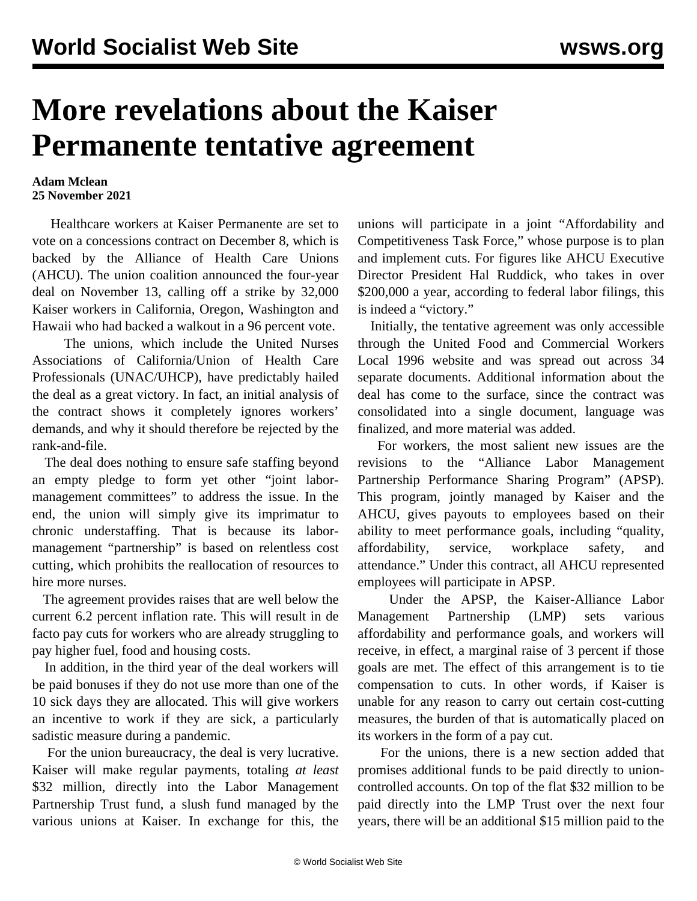## **More revelations about the Kaiser Permanente tentative agreement**

## **Adam Mclean 25 November 2021**

 Healthcare workers at Kaiser Permanente are set to vote on a concessions contract on December 8, which is backed by the Alliance of Health Care Unions (AHCU). The union coalition announced the four-year deal on November 13, calling off a strike by 32,000 Kaiser workers in California, Oregon, Washington and Hawaii who had backed a walkout in a 96 percent vote.

 The unions, which include the United Nurses Associations of California/Union of Health Care Professionals (UNAC/UHCP), have predictably hailed the deal as a great victory. In fact, an [initial analysis](/en/articles/2021/11/17/tent-n17.html) of the contract shows it completely ignores workers' demands, and why it should therefore be rejected by the rank-and-file.

 The deal does nothing to ensure safe staffing beyond an empty pledge to form yet other "joint labormanagement committees" to address the issue. In the end, the union will simply give its imprimatur to chronic understaffing. That is because its labormanagement "partnership" is based on relentless cost cutting, which prohibits the reallocation of resources to hire more nurses.

 The agreement provides raises that are well below the current 6.2 percent inflation rate. This will result in de facto pay cuts for workers who are already struggling to pay higher fuel, food and housing costs.

 In addition, in the third year of the deal workers will be paid bonuses if they do not use more than one of the 10 sick days they are allocated. This will give workers an incentive to work if they are sick, a particularly sadistic measure during a pandemic.

 For the union bureaucracy, the deal is very lucrative. Kaiser will make regular payments, totaling *at least* \$32 million, directly into the Labor Management Partnership Trust fund, a slush fund managed by the various unions at Kaiser. In exchange for this, the unions will participate in a joint "Affordability and Competitiveness Task Force," whose purpose is to plan and implement cuts. For figures like AHCU Executive Director President Hal Ruddick, who takes in over \$200,000 a year, according to federal labor filings, this is indeed a "victory."

 Initially, the tentative agreement was only accessible through the United Food and Commercial Workers Local 1996 website and was spread out across 34 separate documents. Additional information about the deal has come to the surface, since the contract was consolidated into a single document, language was finalized, and more material was added.

 For workers, the most salient new issues are the revisions to the "Alliance Labor Management Partnership Performance Sharing Program" (APSP). This program, jointly managed by Kaiser and the AHCU, gives payouts to employees based on their ability to meet performance goals, including "quality, affordability, service, workplace safety, and attendance." Under this contract, all AHCU represented employees will participate in APSP.

 Under the APSP, the Kaiser-Alliance Labor Management Partnership (LMP) sets various affordability and performance goals, and workers will receive, in effect, a marginal raise of 3 percent if those goals are met. The effect of this arrangement is to tie compensation to cuts. In other words, if Kaiser is unable for any reason to carry out certain cost-cutting measures, the burden of that is automatically placed on its workers in the form of a pay cut.

 For the unions, there is a new section added that promises additional funds to be paid directly to unioncontrolled accounts. On top of the flat \$32 million to be paid directly into the LMP Trust over the next four years, there will be an additional \$15 million paid to the